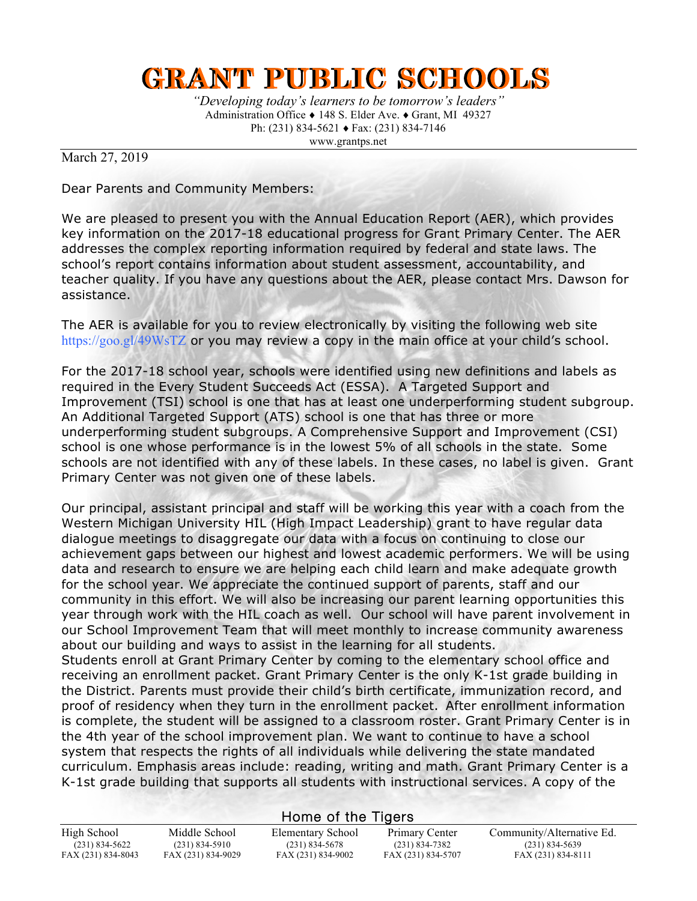## **GRANT PUBLIC SCHOOLS**

*"Developing today's learners to be tomorrow's leaders"* Administration Office ♦ 148 S. Elder Ave. ♦ Grant, MI 49327 Ph: (231) 834-5621 ♦ Fax: (231) 834-7146 www.grantps.net

March 27, 2019

Dear Parents and Community Members:

We are pleased to present you with the Annual Education Report (AER), which provides key information on the 2017-18 educational progress for Grant Primary Center. The AER addresses the complex reporting information required by federal and state laws. The school's report contains information about student assessment, accountability, and teacher quality. If you have any questions about the AER, please contact Mrs. Dawson for assistance.

The AER is available for you to review electronically by visiting the following web site https://goo.gl/49WsTZ or you may review a copy in the main office at your child's school.

For the 2017-18 school year, schools were identified using new definitions and labels as required in the Every Student Succeeds Act (ESSA). A Targeted Support and Improvement (TSI) school is one that has at least one underperforming student subgroup. An Additional Targeted Support (ATS) school is one that has three or more underperforming student subgroups. A Comprehensive Support and Improvement (CSI) school is one whose performance is in the lowest 5% of all schools in the state. Some schools are not identified with any of these labels. In these cases, no label is given. Grant Primary Center was not given one of these labels.

Our principal, assistant principal and staff will be working this year with a coach from the Western Michigan University HIL (High Impact Leadership) grant to have regular data dialogue meetings to disaggregate our data with a focus on continuing to close our achievement gaps between our highest and lowest academic performers. We will be using data and research to ensure we are helping each child learn and make adequate growth for the school year. We appreciate the continued support of parents, staff and our community in this effort. We will also be increasing our parent learning opportunities this year through work with the HIL coach as well. Our school will have parent involvement in our School Improvement Team that will meet monthly to increase community awareness about our building and ways to assist in the learning for all students. Students enroll at Grant Primary Center by coming to the elementary school office and receiving an enrollment packet. Grant Primary Center is the only K-1st grade building in the District. Parents must provide their child's birth certificate, immunization record, and proof of residency when they turn in the enrollment packet. After enrollment information

is complete, the student will be assigned to a classroom roster. Grant Primary Center is in the 4th year of the school improvement plan. We want to continue to have a school system that respects the rights of all individuals while delivering the state mandated curriculum. Emphasis areas include: reading, writing and math. Grant Primary Center is a K-1st grade building that supports all students with instructional services. A copy of the

## Home of the Tigers

| High School        | Middle School      | <b>Elementary School</b> | Primary Center     | Community/Alternative Ed. |  |
|--------------------|--------------------|--------------------------|--------------------|---------------------------|--|
| $(231) 834 - 5622$ | $(231) 834 - 5910$ | $(231)$ 834-5678         | $(231) 834 - 7382$ | $(231)$ 834-5639          |  |
| FAX (231) 834-8043 | FAX (231) 834-9029 | FAX (231) 834-9002       | FAX (231) 834-5707 | FAX (231) 834-8111        |  |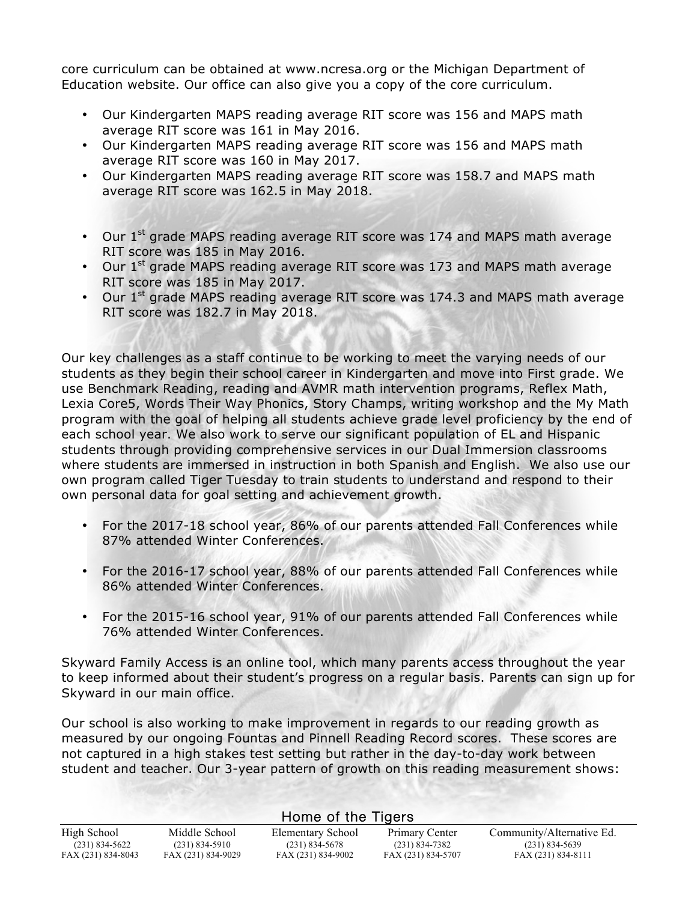core curriculum can be obtained at www.ncresa.org or the Michigan Department of Education website. Our office can also give you a copy of the core curriculum.

- Our Kindergarten MAPS reading average RIT score was 156 and MAPS math average RIT score was 161 in May 2016.
- Our Kindergarten MAPS reading average RIT score was 156 and MAPS math average RIT score was 160 in May 2017.
- Our Kindergarten MAPS reading average RIT score was 158.7 and MAPS math average RIT score was 162.5 in May 2018.
- Our  $1<sup>st</sup>$  grade MAPS reading average RIT score was 174 and MAPS math average RIT score was 185 in May 2016.
- Our  $1<sup>st</sup>$  grade MAPS reading average RIT score was 173 and MAPS math average RIT score was 185 in May 2017.
- Our  $1<sup>st</sup>$  grade MAPS reading average RIT score was 174.3 and MAPS math average RIT score was 182.7 in May 2018.

Our key challenges as a staff continue to be working to meet the varying needs of our students as they begin their school career in Kindergarten and move into First grade. We use Benchmark Reading, reading and AVMR math intervention programs, Reflex Math, Lexia Core5, Words Their Way Phonics, Story Champs, writing workshop and the My Math program with the goal of helping all students achieve grade level proficiency by the end of each school year. We also work to serve our significant population of EL and Hispanic students through providing comprehensive services in our Dual Immersion classrooms where students are immersed in instruction in both Spanish and English. We also use our own program called Tiger Tuesday to train students to understand and respond to their own personal data for goal setting and achievement growth.

- For the 2017-18 school year, 86% of our parents attended Fall Conferences while 87% attended Winter Conferences.
- For the 2016-17 school year, 88% of our parents attended Fall Conferences while 86% attended Winter Conferences.
- For the 2015-16 school year, 91% of our parents attended Fall Conferences while 76% attended Winter Conferences.

Skyward Family Access is an online tool, which many parents access throughout the year to keep informed about their student's progress on a regular basis. Parents can sign up for Skyward in our main office.

Our school is also working to make improvement in regards to our reading growth as measured by our ongoing Fountas and Pinnell Reading Record scores. These scores are not captured in a high stakes test setting but rather in the day-to-day work between student and teacher. Our 3-year pattern of growth on this reading measurement shows:

| Home of the Tigers |                    |                    |                    |                           |  |  |
|--------------------|--------------------|--------------------|--------------------|---------------------------|--|--|
| High School        | Middle School      | Elementary School  | Primary Center     | Community/Alternative Ed. |  |  |
| $(231) 834 - 5622$ | $(231) 834 - 5910$ | $(231)$ 834-5678   | $(231) 834 - 7382$ | $(231) 834 - 5639$        |  |  |
| FAX (231) 834-8043 | FAX (231) 834-9029 | FAX (231) 834-9002 | FAX (231) 834-5707 | FAX (231) 834-8111        |  |  |